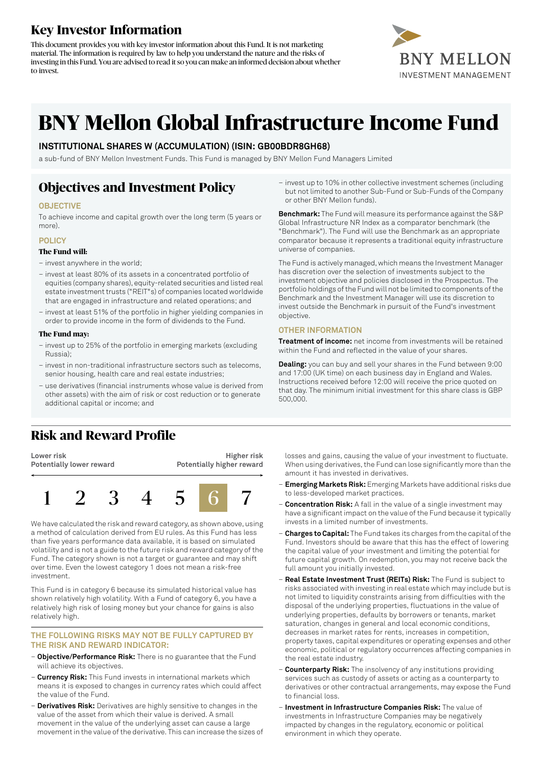# **Key Investor Information**

This document provides you with key investor information about this Fund. It is not marketing material. The information is required by law to help you understand the nature and the risks of investing in this Fund. You are advised to read it so you can make an informed decision about whether to invest.



# **BNY Mellon Global Infrastructure Income Fund**

### **INSTITUTIONAL SHARES W (ACCUMULATION) (ISIN: GB00BDR8GH68)**

a sub-fund of BNY Mellon Investment Funds. This Fund is managed by BNY Mellon Fund Managers Limited

## **Objectives and Investment Policy**

### **OBJECTIVE**

To achieve income and capital growth over the long term (5 years or more).

#### **POLICY**

#### **The Fund will:**

- invest anywhere in the world;
- invest at least 80% of its assets in a concentrated portfolio of equities (company shares), equity-related securities and listed real estate investment trusts ("REIT"s) of companies located worldwide that are engaged in infrastructure and related operations; and
- invest at least 51% of the portfolio in higher yielding companies in order to provide income in the form of dividends to the Fund.

#### **The Fund may:**

- invest up to 25% of the portfolio in emerging markets (excluding Russia);
- invest in non-traditional infrastructure sectors such as telecoms, senior housing, health care and real estate industries;
- use derivatives (financial instruments whose value is derived from other assets) with the aim of risk or cost reduction or to generate additional capital or income; and

# **Risk and Reward Profile**

**Lower risk Potentially lower reward**

**Higher risk Potentially higher reward**



We have calculated the risk and reward category, as shown above, using a method of calculation derived from EU rules. As this Fund has less than five years performance data available, it is based on simulated volatility and is not a guide to the future risk and reward category of the Fund. The category shown is not a target or guarantee and may shift over time. Even the lowest category 1 does not mean a risk-free investment.

This Fund is in category 6 because its simulated historical value has shown relatively high volatility. With a Fund of category 6, you have a relatively high risk of losing money but your chance for gains is also relatively high.

### **THE FOLLOWING RISKS MAY NOT BE FULLY CAPTURED BY THE RISK AND REWARD INDICATOR:**

- **Objective/Performance Risk:** There is no guarantee that the Fund will achieve its objectives.
- **Currency Risk:** This Fund invests in international markets which means it is exposed to changes in currency rates which could affect the value of the Fund.
- **Derivatives Risk:** Derivatives are highly sensitive to changes in the value of the asset from which their value is derived. A small movement in the value of the underlying asset can cause a large movement in the value of the derivative. This can increase the sizes of

– invest up to 10% in other collective investment schemes (including but not limited to another Sub-Fund or Sub-Funds of the Company or other BNY Mellon funds).

**Benchmark:** The Fund will measure its performance against the S&P Global Infrastructure NR Index as a comparator benchmark (the "Benchmark"). The Fund will use the Benchmark as an appropriate comparator because it represents a traditional equity infrastructure universe of companies.

The Fund is actively managed, which means the Investment Manager has discretion over the selection of investments subject to the investment objective and policies disclosed in the Prospectus. The portfolio holdings ofthe Fund will not be limited to components ofthe Benchmark and the Investment Manager will use its discretion to invest outside the Benchmark in pursuit of the Fund's investment objective.

### **OTHER INFORMATION**

**Treatment of income:** net income from investments will be retained within the Fund and reflected in the value of your shares.

**Dealing:** you can buy and sell your shares in the Fund between 9:00 and 17:00 (UK time) on each business day in England and Wales. Instructions received before 12:00 will receive the price quoted on that day. The minimum initial investment for this share class is GBP 500,000.

losses and gains, causing the value of your investment to fluctuate. When using derivatives, the Fund can lose significantly more than the amount it has invested in derivatives.

- **Emerging Markets Risk:** Emerging Markets have additional risks due to less-developed market practices.
- **Concentration Risk:** A fall in the value of a single investment may have a significant impact on the value of the Fund because it typically invests in a limited number of investments.
- **Charges to Capital:** The Fund takes its charges from the capital ofthe Fund. Investors should be aware that this has the effect of lowering the capital value of your investment and limiting the potential for future capital growth. On redemption, you may not receive back the full amount you initially invested.
- **Real Estate Investment Trust (REITs) Risk:** The Fund is subject to risks associated with investing in real estate which may include but is not limited to liquidity constraints arising from difficulties with the disposal of the underlying properties, fluctuations in the value of underlying properties, defaults by borrowers or tenants, market saturation, changes in general and local economic conditions, decreases in market rates for rents, increases in competition, property taxes, capital expenditures or operating expenses and other economic, political or regulatory occurrences affecting companies in the real estate industry.
- **Counterparty Risk:** The insolvency of any institutions providing services such as custody of assets or acting as a counterparty to derivatives or other contractual arrangements, may expose the Fund to financial loss.
- **Investment in Infrastructure Companies Risk:** The value of investments in Infrastructure Companies may be negatively impacted by changes in the regulatory, economic or political environment in which they operate.